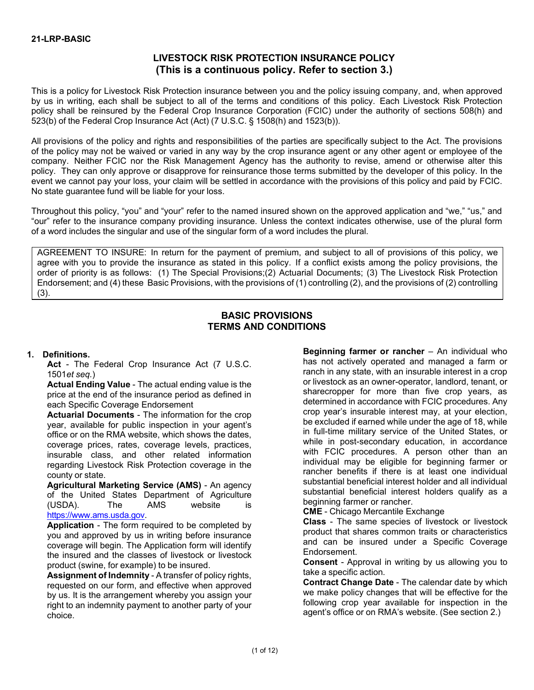# **LIVESTOCK RISK PROTECTION INSURANCE POLICY (This is a continuous policy. Refer to section 3.)**

This is a policy for Livestock Risk Protection insurance between you and the policy issuing company, and, when approved by us in writing, each shall be subject to all of the terms and conditions of this policy. Each Livestock Risk Protection policy shall be reinsured by the Federal Crop Insurance Corporation (FCIC) under the authority of sections 508(h) and 523(b) of the Federal Crop Insurance Act (Act) (7 U.S.C. § 1508(h) and 1523(b)).

All provisions of the policy and rights and responsibilities of the parties are specifically subject to the Act. The provisions of the policy may not be waived or varied in any way by the crop insurance agent or any other agent or employee of the company. Neither FCIC nor the Risk Management Agency has the authority to revise, amend or otherwise alter this policy. They can only approve or disapprove for reinsurance those terms submitted by the developer of this policy. In the event we cannot pay your loss, your claim will be settled in accordance with the provisions of this policy and paid by FCIC. No state guarantee fund will be liable for your loss.

Throughout this policy, "you" and "your" refer to the named insured shown on the approved application and "we," "us," and "our" refer to the insurance company providing insurance. Unless the context indicates otherwise, use of the plural form of a word includes the singular and use of the singular form of a word includes the plural.

AGREEMENT TO INSURE: In return for the payment of premium, and subject to all of provisions of this policy, we agree with you to provide the insurance as stated in this policy. If a conflict exists among the policy provisions, the order of priority is as follows: (1) The Special Provisions;(2) Actuarial Documents; (3) The Livestock Risk Protection Endorsement; and (4) these Basic Provisions, with the provisions of (1) controlling (2), and the provisions of (2) controlling (3).

## **BASIC PROVISIONS TERMS AND CONDITIONS**

## **1. Definitions.**

**Act** - The Federal Crop Insurance Act (7 U.S.C. 1501*et seq.*)

**Actual Ending Value** - The actual ending value is the price at the end of the insurance period as defined in each Specific Coverage Endorsement

**Actuarial Documents** - The information for the crop year, available for public inspection in your agent's office or on the RMA website, which shows the dates, coverage prices, rates, coverage levels, practices, insurable class, and other related information regarding Livestock Risk Protection coverage in the county or state.

**Agricultural Marketing Service (AMS)** - An agency of the United States Department of Agriculture (USDA). The AMS website is [https://www.ams.usda.gov.](https://www.ams.usda.gov./)

**Application** - The form required to be completed by you and approved by us in writing before insurance coverage will begin. The Application form will identify the insured and the classes of livestock or livestock product (swine, for example) to be insured.

**Assignment of Indemnity** - A transfer of policy rights, requested on our form, and effective when approved by us. It is the arrangement whereby you assign your right to an indemnity payment to another party of your choice.

**Beginning farmer or rancher** – An individual who has not actively operated and managed a farm or ranch in any state, with an insurable interest in a crop or livestock as an owner-operator, landlord, tenant, or sharecropper for more than five crop years, as determined in accordance with FCIC procedures. Any crop year's insurable interest may, at your election, be excluded if earned while under the age of 18, while in full-time military service of the United States, or while in post-secondary education, in accordance with FCIC procedures. A person other than an individual may be eligible for beginning farmer or rancher benefits if there is at least one individual substantial beneficial interest holder and all individual substantial beneficial interest holders qualify as a beginning farmer or rancher.

**CME** - Chicago Mercantile Exchange

**Class** - The same species of livestock or livestock product that shares common traits or characteristics and can be insured under a Specific Coverage Endorsement.

**Consent** - Approval in writing by us allowing you to take a specific action.

**Contract Change Date** - The calendar date by which we make policy changes that will be effective for the following crop year available for inspection in the agent's office or on RMA's website. (See section 2.)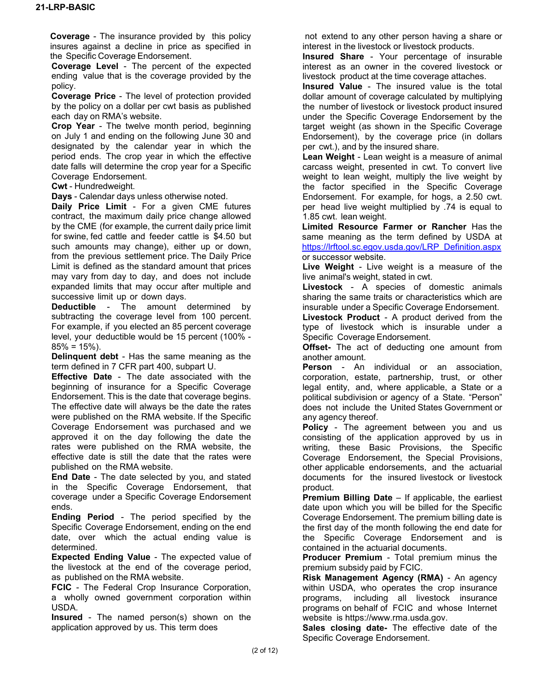**Coverage** - The insurance provided by this policy insures against a decline in price as specified in the Specific Coverage Endorsement.

**Coverage Level** - The percent of the expected ending value that is the coverage provided by the policy.

**Coverage Price** - The level of protection provided by the policy on a dollar per cwt basis as published each day on RMA's website.

**Crop Year** - The twelve month period, beginning on July 1 and ending on the following June 30 and designated by the calendar year in which the period ends. The crop year in which the effective date falls will determine the crop year for a Specific Coverage Endorsement.

**Cwt** - Hundredweight.

**Days** - Calendar days unless otherwise noted.

**Daily Price Limit** - For a given CME futures contract, the maximum daily price change allowed by the CME (for example, the current daily price limit for swine, fed cattle and feeder cattle is \$4.50 but such amounts may change), either up or down, from the previous settlement price. The Daily Price Limit is defined as the standard amount that prices may vary from day to day, and does not include expanded limits that may occur after multiple and successive limit up or down days.

**Deductible** - The amount determined by subtracting the coverage level from 100 percent. For example, if you elected an 85 percent coverage level, your deductible would be 15 percent (100% -  $85\% = 15\%$ ).

**Delinquent debt** - Has the same meaning as the term defined in 7 CFR part 400, subpart U.

**Effective Date** - The date associated with the beginning of insurance for a Specific Coverage Endorsement. This is the date that coverage begins. The effective date will always be the date the rates were published on the RMA website. If the Specific Coverage Endorsement was purchased and we approved it on the day following the date the rates were published on the RMA website, the effective date is still the date that the rates were published on the RMA website.

**End Date** - The date selected by you, and stated in the Specific Coverage Endorsement, that coverage under a Specific Coverage Endorsement ends.

**Ending Period** - The period specified by the Specific Coverage Endorsement, ending on the end date, over which the actual ending value is determined.

**Expected Ending Value** - The expected value of the livestock at the end of the coverage period, as published on the RMA website.

**FCIC** - The Federal Crop Insurance Corporation, a wholly owned government corporation within USDA.

**Insured** - The named person(s) shown on the application approved by us. This term does

not extend to any other person having a share or interest in the livestock or livestock products.

**Insured Share** - Your percentage of insurable interest as an owner in the covered livestock or livestock product at the time coverage attaches.

**Insured Value** - The insured value is the total dollar amount of coverage calculated by multiplying the number of livestock or livestock product insured under the Specific Coverage Endorsement by the target weight (as shown in the Specific Coverage Endorsement), by the coverage price (in dollars per cwt.), and by the insured share.

**Lean Weight** - Lean weight is a measure of animal carcass weight, presented in cwt. To convert live weight to lean weight, multiply the live weight by the factor specified in the Specific Coverage Endorsement. For example, for hogs, a 2.50 cwt. per head live weight multiplied by .74 is equal to 1.85 cwt. lean weight.

**Limited Resource Farmer or Rancher** Has the same meaning as the term defined by USDA at [https://lrftool.sc.egov.usda.gov/LRP\\_Definition.aspx](https://lrftool.sc.egov.usda.gov/LRP_Definition.aspx) or successor website.

**Live Weight** - Live weight is a measure of the live animal's weight, stated in cwt.

**Livestock** - A species of domestic animals sharing the same traits or characteristics which are insurable under a Specific Coverage Endorsement.

**Livestock Product** - A product derived from the type of livestock which is insurable under a Specific Coverage Endorsement.

**Offset-** The act of deducting one amount from another amount.

**Person** - An individual or an association, corporation, estate, partnership, trust, or other legal entity, and, where applicable, a State or a political subdivision or agency of a State. "Person" does not include the United States Government or any agency thereof.

**Policy** - The agreement between you and us consisting of the application approved by us in writing, these Basic Provisions, the Specific Coverage Endorsement, the Special Provisions, other applicable endorsements, and the actuarial documents for the insured livestock or livestock product.

**Premium Billing Date** – If applicable, the earliest date upon which you will be billed for the Specific Coverage Endorsement. The premium billing date is the first day of the month following the end date for the Specific Coverage Endorsement and is contained in the actuarial documents.

**Producer Premium** - Total premium minus the premium subsidy paid by FCIC.

**Risk Management Agency (RMA)** - An agency within USDA, who operates the crop insurance programs, including all livestock insurance programs on behalf of FCIC and whose Internet website is [https://www.rma.usda.gov.](https://www.rma.usda.gov./)

**Sales closing date-** The effective date of the Specific Coverage Endorsement.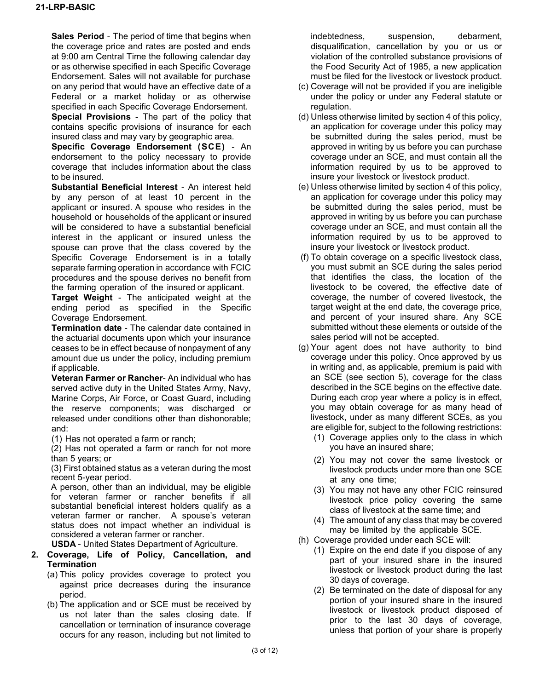**Sales Period** - The period of time that begins when the coverage price and rates are posted and ends at 9:00 am Central Time the following calendar day or as otherwise specified in each Specific Coverage Endorsement. Sales will not available for purchase on any period that would have an effective date of a Federal or a market holiday or as otherwise specified in each Specific Coverage Endorsement.

**Special Provisions** - The part of the policy that contains specific provisions of insurance for each insured class and may vary by geographic area.

**Specific Coverage Endorsement (SCE)** - An endorsement to the policy necessary to provide coverage that includes information about the class to be insured.

**Substantial Beneficial Interest** - An interest held by any person of at least 10 percent in the applicant or insured. A spouse who resides in the household or households of the applicant or insured will be considered to have a substantial beneficial interest in the applicant or insured unless the spouse can prove that the class covered by the Specific Coverage Endorsement is in a totally separate farming operation in accordance with FCIC procedures and the spouse derives no benefit from the farming operation of the insured or applicant.

**Target Weight** - The anticipated weight at the ending period as specified in the Specific Coverage Endorsement.

**Termination date** - The calendar date contained in the actuarial documents upon which your insurance ceases to be in effect because of nonpayment of any amount due us under the policy, including premium if applicable.

**Veteran Farmer or Rancher**- An individual who has served active duty in the United States Army, Navy, Marine Corps, Air Force, or Coast Guard, including the reserve components; was discharged or released under conditions other than dishonorable; and:

(1) Has not operated a farm or ranch;

(2) Has not operated a farm or ranch for not more than 5 years; or

(3) First obtained status as a veteran during the most recent 5-year period.

A person, other than an individual, may be eligible for veteran farmer or rancher benefits if all substantial beneficial interest holders qualify as a veteran farmer or rancher. A spouse's veteran status does not impact whether an individual is considered a veteran farmer or rancher.

**USDA** - United States Department of Agriculture.

## **2. Coverage, Life of Policy, Cancellation, and Termination**

- (a) This policy provides coverage to protect you against price decreases during the insurance period.
- (b) The application and or SCE must be received by us not later than the sales closing date. If cancellation or termination of insurance coverage occurs for any reason, including but not limited to

indebtedness, suspension, debarment, disqualification, cancellation by you or us or violation of the controlled substance provisions of the Food Security Act of 1985, a new application must be filed for the livestock or livestock product.

- (c) Coverage will not be provided if you are ineligible under the policy or under any Federal statute or regulation.
- (d) Unless otherwise limited by section 4 of this policy, an application for coverage under this policy may be submitted during the sales period, must be approved in writing by us before you can purchase coverage under an SCE, and must contain all the information required by us to be approved to insure your livestock or livestock product.
- (e) Unless otherwise limited by section 4 of this policy, an application for coverage under this policy may be submitted during the sales period, must be approved in writing by us before you can purchase coverage under an SCE, and must contain all the information required by us to be approved to insure your livestock or livestock product.
- (f) To obtain coverage on a specific livestock class, you must submit an SCE during the sales period that identifies the class, the location of the livestock to be covered, the effective date of coverage, the number of covered livestock, the target weight at the end date, the coverage price, and percent of your insured share. Any SCE submitted without these elements or outside of the sales period will not be accepted.
- (g) Your agent does not have authority to bind coverage under this policy. Once approved by us in writing and, as applicable, premium is paid with an SCE (see section 5), coverage for the class described in the SCE begins on the effective date. During each crop year where a policy is in effect, you may obtain coverage for as many head of livestock, under as many different SCEs, as you are eligible for, subject to the following restrictions:
	- (1) Coverage applies only to the class in which you have an insured share;
	- (2) You may not cover the same livestock or livestock products under more than one SCE at any one time;
	- (3) You may not have any other FCIC reinsured livestock price policy covering the same class of livestock at the same time; and
	- (4) The amount of any class that may be covered may be limited by the applicable SCE.
- (h) Coverage provided under each SCE will:
	- (1) Expire on the end date if you dispose of any part of your insured share in the insured livestock or livestock product during the last 30 days of coverage.
	- (2) Be terminated on the date of disposal for any portion of your insured share in the insured livestock or livestock product disposed of prior to the last 30 days of coverage, unless that portion of your share is properly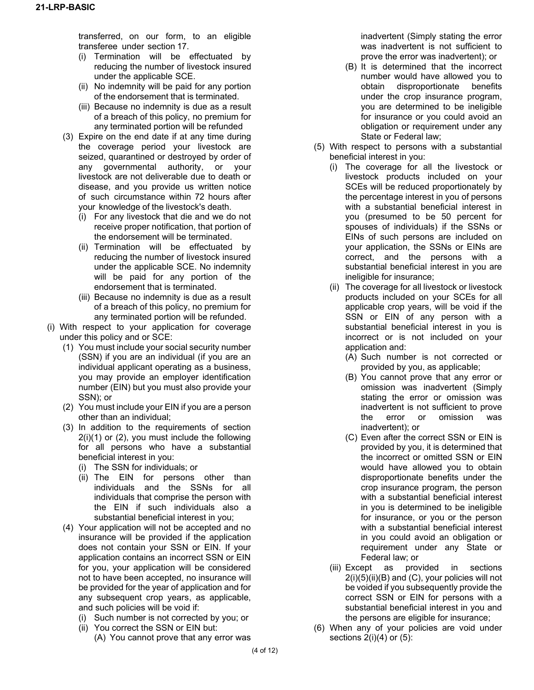transferred, on our form, to an eligible transferee under section 17.

- (i) Termination will be effectuated by reducing the number of livestock insured under the applicable SCE.
- (ii) No indemnity will be paid for any portion of the endorsement that is terminated.
- (iii) Because no indemnity is due as a result of a breach of this policy, no premium for any terminated portion will be refunded
- (3) Expire on the end date if at any time during the coverage period your livestock are seized, quarantined or destroyed by order of any governmental authority, or your livestock are not deliverable due to death or disease, and you provide us written notice of such circumstance within 72 hours after your knowledge of the livestock's death.
	- (i) For any livestock that die and we do not receive proper notification, that portion of the endorsement will be terminated.
	- (ii) Termination will be effectuated by reducing the number of livestock insured under the applicable SCE. No indemnity will be paid for any portion of the endorsement that is terminated.
	- (iii) Because no indemnity is due as a result of a breach of this policy, no premium for any terminated portion will be refunded.
- (i) With respect to your application for coverage under this policy and or SCE:
	- (1) You must include your social security number (SSN) if you are an individual (if you are an individual applicant operating as a business, you may provide an employer identification number (EIN) but you must also provide your SSN); or
	- (2) You must include your EIN if you are a person other than an individual;
	- (3) In addition to the requirements of section 2(i)(1) or (2), you must include the following for all persons who have a substantial beneficial interest in you:
		- (i) The SSN for individuals; or
		- (ii) The EIN for persons other than individuals and the SSNs for all individuals that comprise the person with the EIN if such individuals also a substantial beneficial interest in you;
	- (4) Your application will not be accepted and no insurance will be provided if the application does not contain your SSN or EIN. If your application contains an incorrect SSN or EIN for you, your application will be considered not to have been accepted, no insurance will be provided for the year of application and for any subsequent crop years, as applicable, and such policies will be void if:
		- (i) Such number is not corrected by you; or
		- (ii) You correct the SSN or EIN but:
			- (A) You cannot prove that any error was

inadvertent (Simply stating the error was inadvertent is not sufficient to prove the error was inadvertent); or

- (B) It is determined that the incorrect number would have allowed you to obtain disproportionate benefits under the crop insurance program, you are determined to be ineligible for insurance or you could avoid an obligation or requirement under any State or Federal law;
- (5) With respect to persons with a substantial beneficial interest in you:
	- (i) The coverage for all the livestock or livestock products included on your SCEs will be reduced proportionately by the percentage interest in you of persons with a substantial beneficial interest in you (presumed to be 50 percent for spouses of individuals) if the SSNs or EINs of such persons are included on your application, the SSNs or EINs are correct, and the persons with a substantial beneficial interest in you are ineligible for insurance;
	- (ii) The coverage for all livestock or livestock products included on your SCEs for all applicable crop years, will be void if the SSN or EIN of any person with a substantial beneficial interest in you is incorrect or is not included on your application and:
		- (A) Such number is not corrected or provided by you, as applicable;
		- (B) You cannot prove that any error or omission was inadvertent (Simply stating the error or omission was inadvertent is not sufficient to prove the error or omission was inadvertent); or
		- (C) Even after the correct SSN or EIN is provided by you, it is determined that the incorrect or omitted SSN or EIN would have allowed you to obtain disproportionate benefits under the crop insurance program, the person with a substantial beneficial interest in you is determined to be ineligible for insurance, or you or the person with a substantial beneficial interest in you could avoid an obligation or requirement under any State or Federal law; or
	- (iii) Except as provided in sections  $2(i)(5)(ii)(B)$  and  $(C)$ , your policies will not be voided if you subsequently provide the correct SSN or EIN for persons with a substantial beneficial interest in you and the persons are eligible for insurance;
- (6) When any of your policies are void under sections  $2(i)(4)$  or  $(5)$ :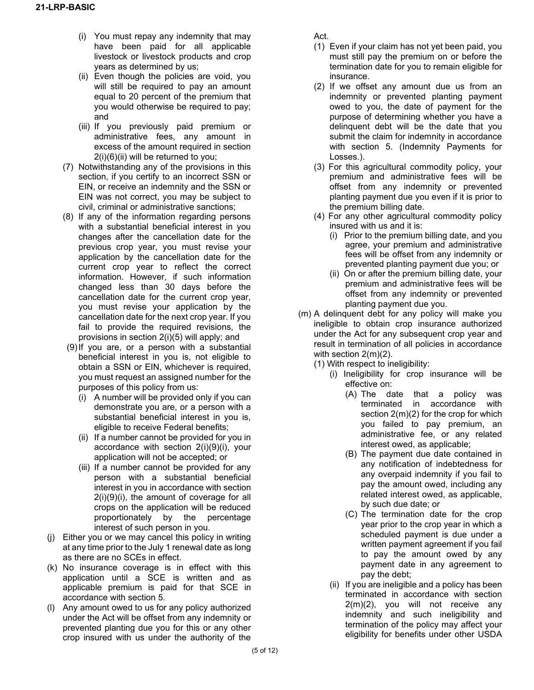- (i) You must repay any indemnity that may have been paid for all applicable livestock or livestock products and crop years as determined by us;
- (ii) Even though the policies are void, you will still be required to pay an amount equal to 20 percent of the premium that you would otherwise be required to pay; and
- (iii) If you previously paid premium or administrative fees, any amount in excess of the amount required in section 2(i)(6)(ii) will be returned to you;
- (7) Notwithstanding any of the provisions in this section, if you certify to an incorrect SSN or EIN, or receive an indemnity and the SSN or EIN was not correct, you may be subject to civil, criminal or administrative sanctions;
- (8) If any of the information regarding persons with a substantial beneficial interest in you changes after the cancellation date for the previous crop year, you must revise your application by the cancellation date for the current crop year to reflect the correct information. However, if such information changed less than 30 days before the cancellation date for the current crop year, you must revise your application by the cancellation date for the next crop year. If you fail to provide the required revisions, the provisions in section 2(i)(5) will apply; and
- (9)If you are, or a person with a substantial beneficial interest in you is, not eligible to obtain a SSN or EIN, whichever is required, you must request an assigned number for the purposes of this policy from us:
	- (i) A number will be provided only if you can demonstrate you are, or a person with a substantial beneficial interest in you is, eligible to receive Federal benefits;
	- (ii) If a number cannot be provided for you in accordance with section 2(i)(9)(i), your application will not be accepted; or
	- (iii) If a number cannot be provided for any person with a substantial beneficial interest in you in accordance with section 2(i)(9)(i), the amount of coverage for all crops on the application will be reduced proportionately by the percentage interest of such person in you.
- (j) Either you or we may cancel this policy in writing at any time prior to the July 1 renewal date as long as there are no SCEs in effect.
- (k) No insurance coverage is in effect with this application until a SCE is written and as applicable premium is paid for that SCE in accordance with section 5.
- (l) Any amount owed to us for any policy authorized under the Act will be offset from any indemnity or prevented planting due you for this or any other crop insured with us under the authority of the

Act.

- (1) Even if your claim has not yet been paid, you must still pay the premium on or before the termination date for you to remain eligible for insurance.
- (2) If we offset any amount due us from an indemnity or prevented planting payment owed to you, the date of payment for the purpose of determining whether you have a delinquent debt will be the date that you submit the claim for indemnity in accordance with section 5. (Indemnity Payments for Losses.).
- (3) For this agricultural commodity policy, your premium and administrative fees will be offset from any indemnity or prevented planting payment due you even if it is prior to the premium billing date.
- (4) For any other agricultural commodity policy insured with us and it is:
	- (i) Prior to the premium billing date, and you agree, your premium and administrative fees will be offset from any indemnity or prevented planting payment due you; or
	- (ii) On or after the premium billing date, your premium and administrative fees will be offset from any indemnity or prevented planting payment due you.
- (m) A delinquent debt for any policy will make you ineligible to obtain crop insurance authorized under the Act for any subsequent crop year and result in termination of all policies in accordance with section 2(m)(2).
	- (1) With respect to ineligibility:
		- (i) Ineligibility for crop insurance will be effective on:
			- (A) The date that a policy was terminated in accordance with section 2(m)(2) for the crop for which you failed to pay premium, an administrative fee, or any related interest owed, as applicable;
			- (B) The payment due date contained in any notification of indebtedness for any overpaid indemnity if you fail to pay the amount owed, including any related interest owed, as applicable, by such due date; or
			- (C) The termination date for the crop year prior to the crop year in which a scheduled payment is due under a written payment agreement if you fail to pay the amount owed by any payment date in any agreement to pay the debt;
		- (ii) If you are ineligible and a policy has been terminated in accordance with section 2(m)(2), you will not receive any indemnity and such ineligibility and termination of the policy may affect your eligibility for benefits under other USDA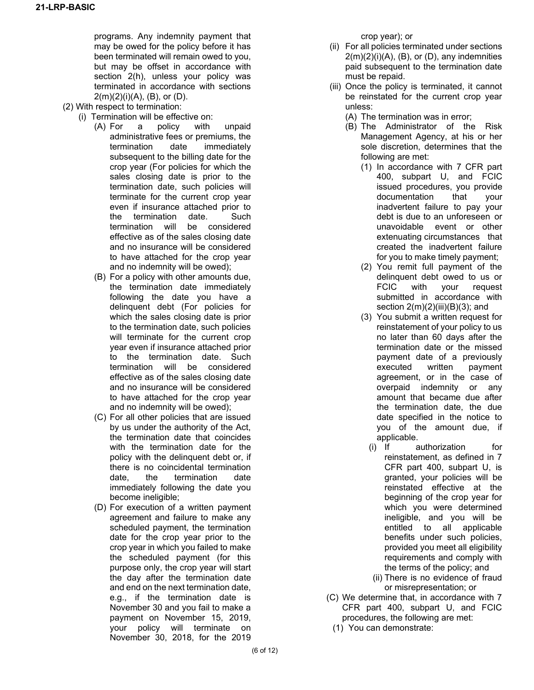programs. Any indemnity payment that may be owed for the policy before it has been terminated will remain owed to you, but may be offset in accordance with section 2(h), unless your policy was terminated in accordance with sections  $2(m)(2)(i)(A)$ ,  $(B)$ , or  $(D)$ .

- (2) With respect to termination:
	- (i) Termination will be effective on:
		- (A) For a policy with unpaid administrative fees or premiums, the termination date immediately subsequent to the billing date for the crop year (For policies for which the sales closing date is prior to the termination date, such policies will terminate for the current crop year even if insurance attached prior to the termination date. Such termination will be considered effective as of the sales closing date and no insurance will be considered to have attached for the crop year and no indemnity will be owed);
		- (B) For a policy with other amounts due, the termination date immediately following the date you have a delinquent debt (For policies for which the sales closing date is prior to the termination date, such policies will terminate for the current crop year even if insurance attached prior to the termination date. Such termination will be considered effective as of the sales closing date and no insurance will be considered to have attached for the crop year and no indemnity will be owed);
		- (C) For all other policies that are issued by us under the authority of the Act, the termination date that coincides with the termination date for the policy with the delinquent debt or, if there is no coincidental termination date, the termination date immediately following the date you become ineligible;
		- (D) For execution of a written payment agreement and failure to make any scheduled payment, the termination date for the crop year prior to the crop year in which you failed to make the scheduled payment (for this purpose only, the crop year will start the day after the termination date and end on the next termination date, e.g., if the termination date is November 30 and you fail to make a payment on November 15, 2019, your policy will terminate on November 30, 2018, for the 2019

crop year); or

- (ii) For all policies terminated under sections  $2(m)(2)(i)(A)$ ,  $(B)$ , or  $(D)$ , any indemnities paid subsequent to the termination date must be repaid.
- (iii) Once the policy is terminated, it cannot be reinstated for the current crop year unless:
	- (A) The termination was in error;
	- (B) The Administrator of the Risk Management Agency, at his or her sole discretion, determines that the following are met:
		- (1) In accordance with 7 CFR part 400, subpart U, and FCIC issued procedures, you provide documentation that your inadvertent failure to pay your debt is due to an unforeseen or unavoidable event or other extenuating circumstances that created the inadvertent failure for you to make timely payment;
		- (2) You remit full payment of the delinquent debt owed to us or FCIC with your request submitted in accordance with section 2(m)(2)(iii)(B)(3); and
		- (3) You submit a written request for reinstatement of your policy to us no later than 60 days after the termination date or the missed payment date of a previously executed written payment agreement, or in the case of overpaid indemnity or any amount that became due after the termination date, the due date specified in the notice to you of the amount due, if applicable.
			- (i) If authorization for reinstatement, as defined in 7 CFR part 400, subpart U, is granted, your policies will be reinstated effective at the beginning of the crop year for which you were determined ineligible, and you will be entitled to all applicable benefits under such policies, provided you meet all eligibility requirements and comply with the terms of the policy; and
			- (ii) There is no evidence of fraud or misrepresentation; or
- (C) We determine that, in accordance with 7 CFR part 400, subpart U, and FCIC procedures, the following are met:
	- (1) You can demonstrate: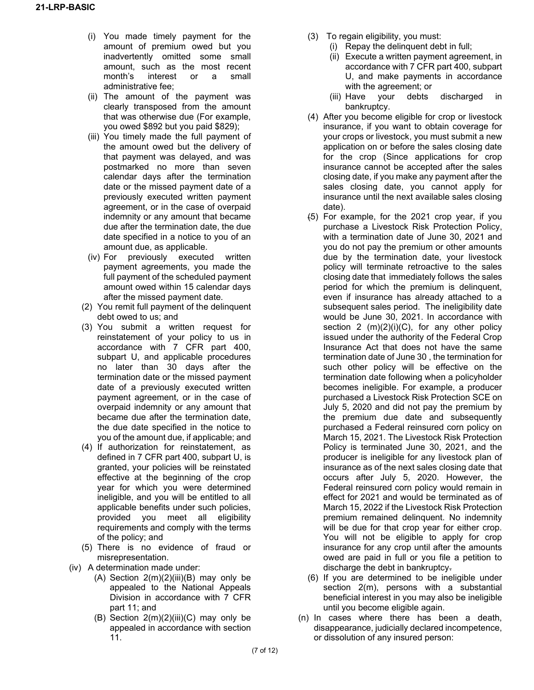- (i) You made timely payment for the amount of premium owed but you inadvertently omitted some small amount, such as the most recent month's interest or a small administrative fee;
- (ii) The amount of the payment was clearly transposed from the amount that was otherwise due (For example, you owed \$892 but you paid \$829);
- (iii) You timely made the full payment of the amount owed but the delivery of that payment was delayed, and was postmarked no more than seven calendar days after the termination date or the missed payment date of a previously executed written payment agreement, or in the case of overpaid indemnity or any amount that became due after the termination date, the due date specified in a notice to you of an amount due, as applicable.
- (iv) For previously executed written payment agreements, you made the full payment of the scheduled payment amount owed within 15 calendar days after the missed payment date.
- (2) You remit full payment of the delinquent debt owed to us; and
- (3) You submit a written request for reinstatement of your policy to us in accordance with 7 CFR part 400, subpart U, and applicable procedures no later than 30 days after the termination date or the missed payment date of a previously executed written payment agreement, or in the case of overpaid indemnity or any amount that became due after the termination date, the due date specified in the notice to you of the amount due, if applicable; and
- (4) If authorization for reinstatement, as defined in 7 CFR part 400, subpart U, is granted, your policies will be reinstated effective at the beginning of the crop year for which you were determined ineligible, and you will be entitled to all applicable benefits under such policies, provided you meet all eligibility requirements and comply with the terms of the policy; and
- (5) There is no evidence of fraud or misrepresentation.
- (iv) A determination made under:
	- (A) Section  $2(m)(2)(iii)(B)$  may only be appealed to the National Appeals Division in accordance with 7 CFR part 11; and
	- (B) Section  $2(m)(2)(iii)(C)$  may only be appealed in accordance with section 11.
- (3) To regain eligibility, you must:
	- (i) Repay the delinquent debt in full;
	- (ii) Execute a written payment agreement, in accordance with 7 CFR part 400, subpart U, and make payments in accordance with the agreement; or
	- (iii) Have your debts discharged in bankruptcy.
- (4) After you become eligible for crop or livestock insurance, if you want to obtain coverage for your crops or livestock, you must submit a new application on or before the sales closing date for the crop (Since applications for crop insurance cannot be accepted after the sales closing date, if you make any payment after the sales closing date, you cannot apply for insurance until the next available sales closing date).
- (5) For example, for the 2021 crop year, if you purchase a Livestock Risk Protection Policy, with a termination date of June 30, 2021 and you do not pay the premium or other amounts due by the termination date, your livestock policy will terminate retroactive to the sales closing date that immediately follows the sales period for which the premium is delinquent, even if insurance has already attached to a subsequent sales period. The ineligibility date would be June 30, 2021. In accordance with section 2  $(m)(2)(i)(C)$ , for any other policy issued under the authority of the Federal Crop Insurance Act that does not have the same termination date of June 30 , the termination for such other policy will be effective on the termination date following when a policyholder becomes ineligible. For example, a producer purchased a Livestock Risk Protection SCE on July 5, 2020 and did not pay the premium by the premium due date and subsequently purchased a Federal reinsured corn policy on March 15, 2021. The Livestock Risk Protection Policy is terminated June 30, 2021, and the producer is ineligible for any livestock plan of insurance as of the next sales closing date that occurs after July 5, 2020. However, the Federal reinsured corn policy would remain in effect for 2021 and would be terminated as of March 15, 2022 if the Livestock Risk Protection premium remained delinquent. No indemnity will be due for that crop year for either crop. You will not be eligible to apply for crop insurance for any crop until after the amounts owed are paid in full or you file a petition to discharge the debt in bankruptcy.
- (6) If you are determined to be ineligible under section 2(m), persons with a substantial beneficial interest in you may also be ineligible until you become eligible again.
- (n) In cases where there has been a death, disappearance, judicially declared incompetence, or dissolution of any insured person: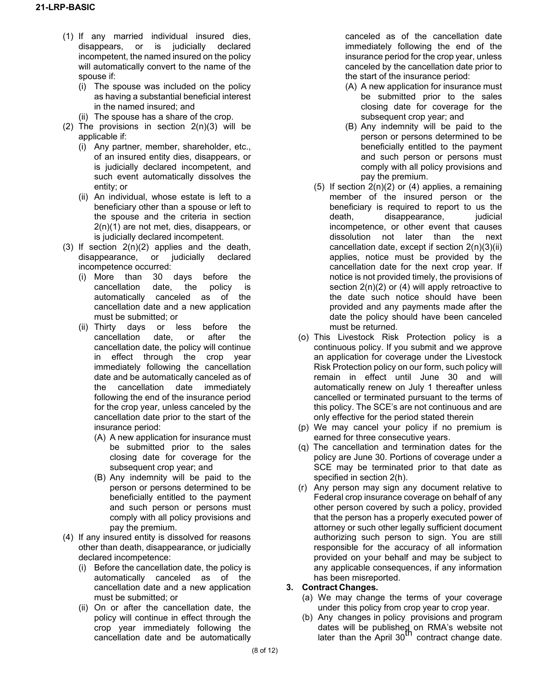- (1) If any married individual insured dies, disappears, or is judicially declared incompetent, the named insured on the policy will automatically convert to the name of the spouse if:
	- (i) The spouse was included on the policy as having a substantial beneficial interest in the named insured; and
	- (ii) The spouse has a share of the crop.
- (2) The provisions in section  $2(n)(3)$  will be applicable if:
	- (i) Any partner, member, shareholder, etc., of an insured entity dies, disappears, or is judicially declared incompetent, and such event automatically dissolves the entity; or
	- (ii) An individual, whose estate is left to a beneficiary other than a spouse or left to the spouse and the criteria in section 2(n)(1) are not met, dies, disappears, or is judicially declared incompetent.
- $(3)$  If section  $2(n)(2)$  applies and the death, disappearance, or judicially declared incompetence occurred:
	- (i) More than 30 days before the cancellation date, the policy is automatically canceled as of the cancellation date and a new application must be submitted; or
	- (ii) Thirty days or less before the cancellation date, or after the cancellation date, the policy will continue in effect through the crop year immediately following the cancellation date and be automatically canceled as of the cancellation date immediately following the end of the insurance period for the crop year, unless canceled by the cancellation date prior to the start of the insurance period:
		- (A) A new application for insurance must be submitted prior to the sales closing date for coverage for the subsequent crop year; and
		- (B) Any indemnity will be paid to the person or persons determined to be beneficially entitled to the payment and such person or persons must comply with all policy provisions and pay the premium.
- (4) If any insured entity is dissolved for reasons other than death, disappearance, or judicially declared incompetence:
	- (i) Before the cancellation date, the policy is automatically canceled as of the cancellation date and a new application must be submitted; or
	- (ii) On or after the cancellation date, the policy will continue in effect through the crop year immediately following the cancellation date and be automatically

canceled as of the cancellation date immediately following the end of the insurance period for the crop year, unless canceled by the cancellation date prior to the start of the insurance period:

- (A) A new application for insurance must be submitted prior to the sales closing date for coverage for the subsequent crop year; and
- (B) Any indemnity will be paid to the person or persons determined to be beneficially entitled to the payment and such person or persons must comply with all policy provisions and pay the premium.
- (5) If section  $2(n)(2)$  or (4) applies, a remaining member of the insured person or the beneficiary is required to report to us the death, disappearance, judicial incompetence, or other event that causes dissolution not later than the next cancellation date, except if section 2(n)(3)(ii) applies, notice must be provided by the cancellation date for the next crop year. If notice is not provided timely, the provisions of section 2(n)(2) or (4) will apply retroactive to the date such notice should have been provided and any payments made after the date the policy should have been canceled must be returned.
- (o) This Livestock Risk Protection policy is a continuous policy. If you submit and we approve an application for coverage under the Livestock Risk Protection policy on our form, such policy will remain in effect until June 30 and will automatically renew on July 1 thereafter unless cancelled or terminated pursuant to the terms of this policy. The SCE's are not continuous and are only effective for the period stated therein
- (p) We may cancel your policy if no premium is earned for three consecutive years.
- (q) The cancellation and termination dates for the policy are June 30. Portions of coverage under a SCE may be terminated prior to that date as specified in section 2(h).
- (r) Any person may sign any document relative to Federal crop insurance coverage on behalf of any other person covered by such a policy, provided that the person has a properly executed power of attorney or such other legally sufficient document authorizing such person to sign. You are still responsible for the accuracy of all information provided on your behalf and may be subject to any applicable consequences, if any information has been misreported.

## **3. Contract Changes.**

- (a) We may change the terms of your coverage under this policy from crop year to crop year.
- (b) Any changes in policy provisions and program dates will be published on RMA's website not later than the April 30<sup>th</sup> contract change date.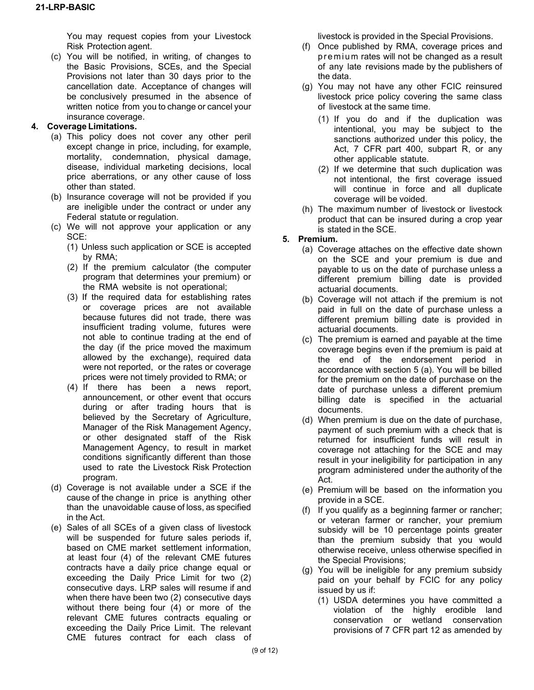You may request copies from your Livestock Risk Protection agent.

(c) You will be notified, in writing, of changes to the Basic Provisions, SCEs, and the Special Provisions not later than 30 days prior to the cancellation date. Acceptance of changes will be conclusively presumed in the absence of written notice from you to change or cancel your insurance coverage.

## **4. Coverage Limitations.**

- (a) This policy does not cover any other peril except change in price, including, for example, mortality, condemnation, physical damage, disease, individual marketing decisions, local price aberrations, or any other cause of loss other than stated.
- (b) Insurance coverage will not be provided if you are ineligible under the contract or under any Federal statute or regulation.
- (c) We will not approve your application or any SCE:
	- (1) Unless such application or SCE is accepted by RMA;
	- (2) If the premium calculator (the computer program that determines your premium) or the RMA website is not operational;
	- (3) If the required data for establishing rates or coverage prices are not available because futures did not trade, there was insufficient trading volume, futures were not able to continue trading at the end of the day (if the price moved the maximum allowed by the exchange), required data were not reported, or the rates or coverage prices were not timely provided to RMA; or
	- (4) If there has been a news report, announcement, or other event that occurs during or after trading hours that is believed by the Secretary of Agriculture, Manager of the Risk Management Agency, or other designated staff of the Risk Management Agency, to result in market conditions significantly different than those used to rate the Livestock Risk Protection program.
- (d) Coverage is not available under a SCE if the cause of the change in price is anything other than the unavoidable cause of loss, as specified in the Act.
- (e) Sales of all SCEs of a given class of livestock will be suspended for future sales periods if, based on CME market settlement information, at least four (4) of the relevant CME futures contracts have a daily price change equal or exceeding the Daily Price Limit for two (2) consecutive days. LRP sales will resume if and when there have been two (2) consecutive days without there being four (4) or more of the relevant CME futures contracts equaling or exceeding the Daily Price Limit. The relevant CME futures contract for each class of

livestock is provided in the Special Provisions.

- (f) Once published by RMA, coverage prices and premium rates will not be changed as a result of any late revisions made by the publishers of the data.
- (g) You may not have any other FCIC reinsured livestock price policy covering the same class of livestock at the same time.
	- (1) If you do and if the duplication was intentional, you may be subject to the sanctions authorized under this policy, the Act, 7 CFR part 400, subpart R, or any other applicable statute.
	- (2) If we determine that such duplication was not intentional, the first coverage issued will continue in force and all duplicate coverage will be voided.
- (h) The maximum number of livestock or livestock product that can be insured during a crop year is stated in the SCE.
- **5. Premium.**
	- (a) Coverage attaches on the effective date shown on the SCE and your premium is due and payable to us on the date of purchase unless a different premium billing date is provided actuarial documents.
	- (b) Coverage will not attach if the premium is not paid in full on the date of purchase unless a different premium billing date is provided in actuarial documents.
	- (c) The premium is earned and payable at the time coverage begins even if the premium is paid at the end of the endorsement period in accordance with section 5 (a). You will be billed for the premium on the date of purchase on the date of purchase unless a different premium billing date is specified in the actuarial documents.
	- (d) When premium is due on the date of purchase, payment of such premium with a check that is returned for insufficient funds will result in coverage not attaching for the SCE and may result in your ineligibility for participation in any program administered under the authority of the Act.
	- (e) Premium will be based on the information you provide in a SCE.
	- (f) If you qualify as a beginning farmer or rancher; or veteran farmer or rancher, your premium subsidy will be 10 percentage points greater than the premium subsidy that you would otherwise receive, unless otherwise specified in the Special Provisions;
	- (g) You will be ineligible for any premium subsidy paid on your behalf by FCIC for any policy issued by us if:
		- (1) USDA determines you have committed a violation of the highly erodible land conservation or wetland conservation provisions of 7 CFR part 12 as amended by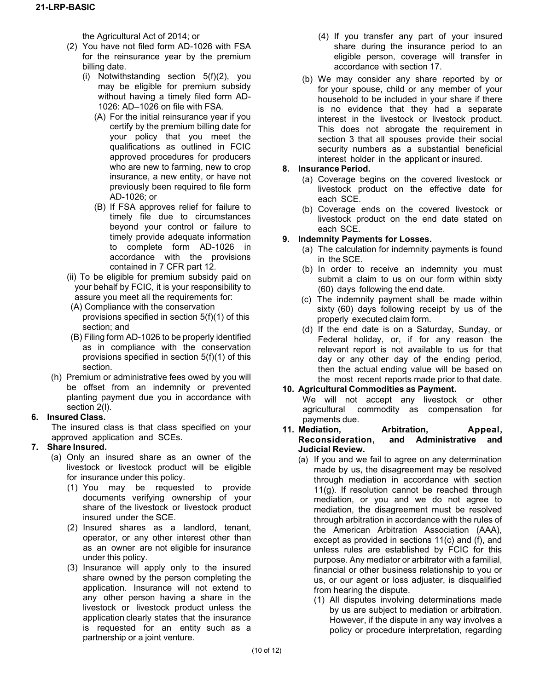the Agricultural Act of 2014; or

- (2) You have not filed form AD-1026 with FSA for the reinsurance year by the premium billing date.
	- (i) Notwithstanding section 5(f)(2), you may be eligible for premium subsidy without having a timely filed form AD-1026: AD–1026 on file with FSA.
		- (A) For the initial reinsurance year if you certify by the premium billing date for your policy that you meet the qualifications as outlined in FCIC approved procedures for producers who are new to farming, new to crop insurance, a new entity, or have not previously been required to file form AD-1026; or
		- (B) If FSA approves relief for failure to timely file due to circumstances beyond your control or failure to timely provide adequate information to complete form AD-1026 in accordance with the provisions contained in 7 CFR part 12.
- (ii) To be eligible for premium subsidy paid on your behalf by FCIC, it is your responsibility to assure you meet all the requirements for:
- (A) Compliance with the conservation provisions specified in section 5(f)(1) of this section; and
- (B) Filing form AD-1026 to be properly identified as in compliance with the conservation provisions specified in section 5(f)(1) of this section.
- (h) Premium or administrative fees owed by you will be offset from an indemnity or prevented planting payment due you in accordance with section 2(l).

# **6. Insured Class.**

The insured class is that class specified on your approved application and SCEs.

# **7. Share Insured.**

- (a) Only an insured share as an owner of the livestock or livestock product will be eligible for insurance under this policy.
	- (1) You may be requested to provide documents verifying ownership of your share of the livestock or livestock product insured under the SCE.
	- (2) Insured shares as a landlord, tenant, operator, or any other interest other than as an owner are not eligible for insurance under this policy.
	- (3) Insurance will apply only to the insured share owned by the person completing the application. Insurance will not extend to any other person having a share in the livestock or livestock product unless the application clearly states that the insurance is requested for an entity such as a partnership or a joint venture.
- (4) If you transfer any part of your insured share during the insurance period to an eligible person, coverage will transfer in accordance with section 17.
- (b) We may consider any share reported by or for your spouse, child or any member of your household to be included in your share if there is no evidence that they had a separate interest in the livestock or livestock product. This does not abrogate the requirement in section 3 that all spouses provide their social security numbers as a substantial beneficial interest holder in the applicant or insured.

## **8. Insurance Period.**

- (a) Coverage begins on the covered livestock or livestock product on the effective date for each SCE.
- (b) Coverage ends on the covered livestock or livestock product on the end date stated on each SCE.

## **9. Indemnity Payments for Losses.**

- (a) The calculation for indemnity payments is found in the SCE.
- (b) In order to receive an indemnity you must submit a claim to us on our form within sixty (60) days following the end date.
- (c) The indemnity payment shall be made within sixty (60) days following receipt by us of the properly executed claim form.
- (d) If the end date is on a Saturday, Sunday, or Federal holiday, or, if for any reason the relevant report is not available to us for that day or any other day of the ending period, then the actual ending value will be based on the most recent reports made prior to that date.

## **10. Agricultural Commodities as Payment.**

We will not accept any livestock or other agricultural commodity as compensation for payments due.

#### **11. Mediation, Arbitration, Appeal, Reconsideration, and Administrative and Judicial Review.**

- (a) If you and we fail to agree on any determination made by us, the disagreement may be resolved through mediation in accordance with section 11(g). If resolution cannot be reached through mediation, or you and we do not agree to mediation, the disagreement must be resolved through arbitration in accordance with the rules of the American Arbitration Association (AAA), except as provided in sections 11(c) and (f), and unless rules are established by FCIC for this purpose. Any mediator or arbitrator with a familial, financial or other business relationship to you or us, or our agent or loss adjuster, is disqualified from hearing the dispute.
	- (1) All disputes involving determinations made by us are subject to mediation or arbitration. However, if the dispute in any way involves a policy or procedure interpretation, regarding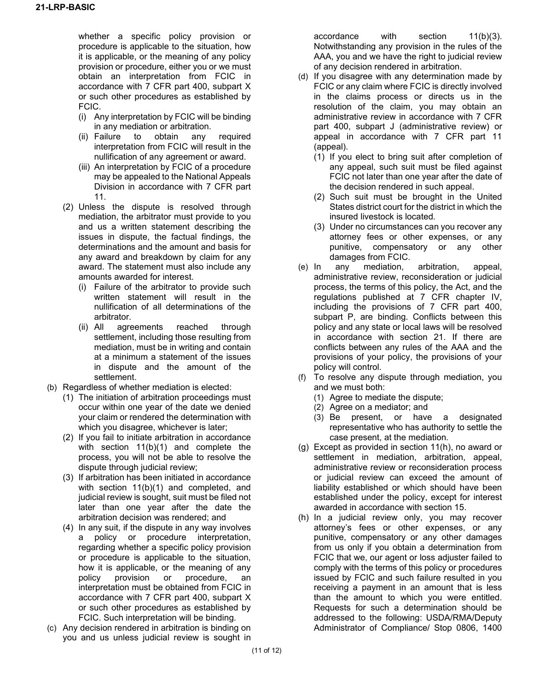whether a specific policy provision or procedure is applicable to the situation, how it is applicable, or the meaning of any policy provision or procedure, either you or we must obtain an interpretation from FCIC in accordance with 7 CFR part 400, subpart X or such other procedures as established by FCIC.

- (i) Any interpretation by FCIC will be binding in any mediation or arbitration.
- (ii) Failure to obtain any required interpretation from FCIC will result in the nullification of any agreement or award.
- (iii) An interpretation by FCIC of a procedure may be appealed to the National Appeals Division in accordance with 7 CFR part 11.
- (2) Unless the dispute is resolved through mediation, the arbitrator must provide to you and us a written statement describing the issues in dispute, the factual findings, the determinations and the amount and basis for any award and breakdown by claim for any award. The statement must also include any amounts awarded for interest.
	- (i) Failure of the arbitrator to provide such written statement will result in the nullification of all determinations of the arbitrator.
	- (ii) All agreements reached through settlement, including those resulting from mediation, must be in writing and contain at a minimum a statement of the issues in dispute and the amount of the settlement.
- (b) Regardless of whether mediation is elected:
	- (1) The initiation of arbitration proceedings must occur within one year of the date we denied your claim or rendered the determination with which you disagree, whichever is later;
	- (2) If you fail to initiate arbitration in accordance with section 11(b)(1) and complete the process, you will not be able to resolve the dispute through judicial review;
	- (3) If arbitration has been initiated in accordance with section 11(b)(1) and completed, and judicial review is sought, suit must be filed not later than one year after the date the arbitration decision was rendered; and
	- (4) In any suit, if the dispute in any way involves a policy or procedure interpretation, regarding whether a specific policy provision or procedure is applicable to the situation, how it is applicable, or the meaning of any policy provision or procedure, an interpretation must be obtained from FCIC in accordance with 7 CFR part 400, subpart X or such other procedures as established by FCIC. Such interpretation will be binding.
- (c) Any decision rendered in arbitration is binding on you and us unless judicial review is sought in

accordance with section 11(b)(3). Notwithstanding any provision in the rules of the AAA, you and we have the right to judicial review of any decision rendered in arbitration.

- (d) If you disagree with any determination made by FCIC or any claim where FCIC is directly involved in the claims process or directs us in the resolution of the claim, you may obtain an administrative review in accordance with 7 CFR part 400, subpart J (administrative review) or appeal in accordance with 7 CFR part 11 (appeal).
	- (1) If you elect to bring suit after completion of any appeal, such suit must be filed against FCIC not later than one year after the date of the decision rendered in such appeal.
	- (2) Such suit must be brought in the United States district court for the district in which the insured livestock is located.
	- (3) Under no circumstances can you recover any attorney fees or other expenses, or any punitive, compensatory or any other damages from FCIC.
- (e) In any mediation, arbitration, appeal, administrative review, reconsideration or judicial process, the terms of this policy, the Act, and the regulations published at 7 CFR chapter IV, including the provisions of 7 CFR part 400, subpart P, are binding. Conflicts between this policy and any state or local laws will be resolved in accordance with section 21. If there are conflicts between any rules of the AAA and the provisions of your policy, the provisions of your policy will control.
- (f) To resolve any dispute through mediation, you and we must both:
	- (1) Agree to mediate the dispute;
	- (2) Agree on a mediator; and
	- (3) Be present, or have a designated representative who has authority to settle the case present, at the mediation.
- (g) Except as provided in section 11(h), no award or settlement in mediation, arbitration, appeal, administrative review or reconsideration process or judicial review can exceed the amount of liability established or which should have been established under the policy, except for interest awarded in accordance with section 15.
- (h) In a judicial review only, you may recover attorney's fees or other expenses, or any punitive, compensatory or any other damages from us only if you obtain a determination from FCIC that we, our agent or loss adjuster failed to comply with the terms of this policy or procedures issued by FCIC and such failure resulted in you receiving a payment in an amount that is less than the amount to which you were entitled. Requests for such a determination should be addressed to the following: USDA/RMA/Deputy Administrator of Compliance/ Stop 0806, 1400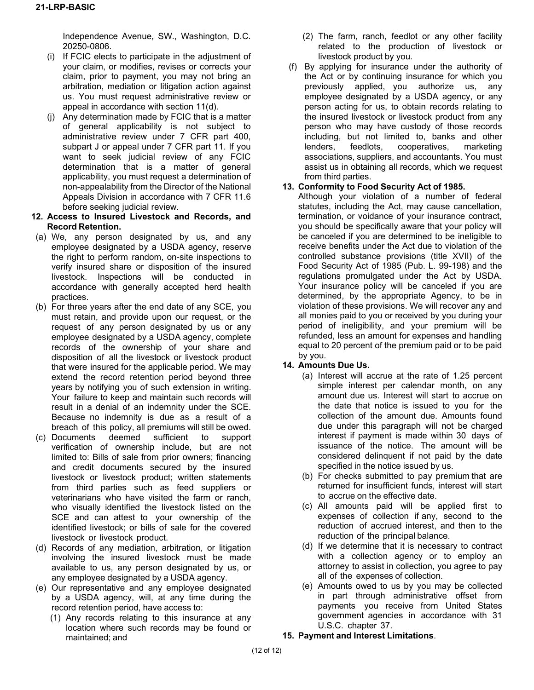Independence Avenue, SW., Washington, D.C. 20250-0806.

- (i) If FCIC elects to participate in the adjustment of your claim, or modifies, revises or corrects your claim, prior to payment, you may not bring an arbitration, mediation or litigation action against us. You must request administrative review or appeal in accordance with section 11(d).
- (j) Any determination made by FCIC that is a matter of general applicability is not subject to administrative review under 7 CFR part 400, subpart J or appeal under 7 CFR part 11. If you want to seek judicial review of any FCIC determination that is a matter of general applicability, you must request a determination of non-appealability from the Director of the National Appeals Division in accordance with 7 CFR 11.6 before seeking judicial review.
- **12. Access to Insured Livestock and Records, and Record Retention.**
- (a) We, any person designated by us, and any employee designated by a USDA agency, reserve the right to perform random, on-site inspections to verify insured share or disposition of the insured livestock. Inspections will be conducted in accordance with generally accepted herd health practices.
- (b) For three years after the end date of any SCE, you must retain, and provide upon our request, or the request of any person designated by us or any employee designated by a USDA agency, complete records of the ownership of your share and disposition of all the livestock or livestock product that were insured for the applicable period. We may extend the record retention period beyond three years by notifying you of such extension in writing. Your failure to keep and maintain such records will result in a denial of an indemnity under the SCE. Because no indemnity is due as a result of a breach of this policy, all premiums will still be owed.
- (c) Documents deemed sufficient to support verification of ownership include, but are not limited to: Bills of sale from prior owners; financing and credit documents secured by the insured livestock or livestock product; written statements from third parties such as feed suppliers or veterinarians who have visited the farm or ranch, who visually identified the livestock listed on the SCE and can attest to your ownership of the identified livestock; or bills of sale for the covered livestock or livestock product.
- (d) Records of any mediation, arbitration, or litigation involving the insured livestock must be made available to us, any person designated by us, or any employee designated by a USDA agency.
- (e) Our representative and any employee designated by a USDA agency, will, at any time during the record retention period, have access to:
	- (1) Any records relating to this insurance at any location where such records may be found or maintained; and
- (2) The farm, ranch, feedlot or any other facility related to the production of livestock or livestock product by you.
- (f) By applying for insurance under the authority of the Act or by continuing insurance for which you previously applied, you authorize us, any employee designated by a USDA agency, or any person acting for us, to obtain records relating to the insured livestock or livestock product from any person who may have custody of those records including, but not limited to, banks and other lenders, feedlots, cooperatives, marketing associations, suppliers, and accountants. You must assist us in obtaining all records, which we request from third parties.

## **13. Conformity to Food Security Act of 1985.**

Although your violation of a number of federal statutes, including the Act, may cause cancellation, termination, or voidance of your insurance contract, you should be specifically aware that your policy will be canceled if you are determined to be ineligible to receive benefits under the Act due to violation of the controlled substance provisions (title XVII) of the Food Security Act of 1985 (Pub. L. 99-198) and the regulations promulgated under the Act by USDA. Your insurance policy will be canceled if you are determined, by the appropriate Agency, to be in violation of these provisions. We will recover any and all monies paid to you or received by you during your period of ineligibility, and your premium will be refunded, less an amount for expenses and handling equal to 20 percent of the premium paid or to be paid by you.

# **14. Amounts Due Us.**

- (a) Interest will accrue at the rate of 1.25 percent simple interest per calendar month, on any amount due us. Interest will start to accrue on the date that notice is issued to you for the collection of the amount due. Amounts found due under this paragraph will not be charged interest if payment is made within 30 days of issuance of the notice. The amount will be considered delinquent if not paid by the date specified in the notice issued by us.
- (b) For checks submitted to pay premium that are returned for insufficient funds, interest will start to accrue on the effective date.
- (c) All amounts paid will be applied first to expenses of collection if any, second to the reduction of accrued interest, and then to the reduction of the principal balance.
- (d) If we determine that it is necessary to contract with a collection agency or to employ an attorney to assist in collection, you agree to pay all of the expenses of collection.
- (e) Amounts owed to us by you may be collected in part through administrative offset from payments you receive from United States government agencies in accordance with 31 U.S.C. chapter 37.

## **15. Payment and Interest Limitations**.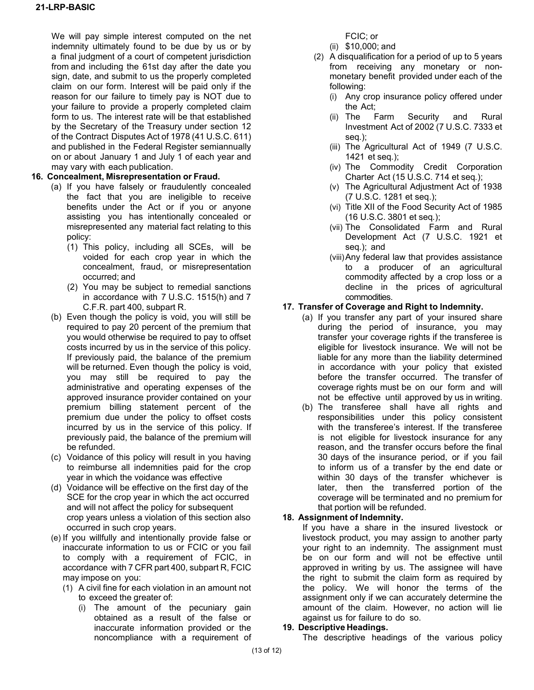We will pay simple interest computed on the net indemnity ultimately found to be due by us or by a final judgment of a court of competent jurisdiction from and including the 61st day after the date you sign, date, and submit to us the properly completed claim on our form. Interest will be paid only if the reason for our failure to timely pay is NOT due to your failure to provide a properly completed claim form to us. The interest rate will be that established by the Secretary of the Treasury under section 12 of the Contract Disputes Act of 1978 (41 U.S.C. 611) and published in the Federal Register semiannually on or about January 1 and July 1 of each year and may vary with each publication.

### **16. Concealment, Misrepresentation or Fraud.**

- (a) If you have falsely or fraudulently concealed the fact that you are ineligible to receive benefits under the Act or if you or anyone assisting you has intentionally concealed or misrepresented any material fact relating to this policy:
	- (1) This policy, including all SCEs, will be voided for each crop year in which the concealment, fraud, or misrepresentation occurred; and
	- (2) You may be subject to remedial sanctions in accordance with 7 U.S.C. 1515(h) and 7 C.F.R. part 400, subpart R.
- (b) Even though the policy is void, you will still be required to pay 20 percent of the premium that you would otherwise be required to pay to offset costs incurred by us in the service of this policy. If previously paid, the balance of the premium will be returned. Even though the policy is void, you may still be required to pay the administrative and operating expenses of the approved insurance provider contained on your premium billing statement percent of the premium due under the policy to offset costs incurred by us in the service of this policy. If previously paid, the balance of the premium will be refunded.
- (c) Voidance of this policy will result in you having to reimburse all indemnities paid for the crop year in which the voidance was effective
- (d) Voidance will be effective on the first day of the SCE for the crop year in which the act occurred and will not affect the policy for subsequent crop years unless a violation of this section also occurred in such crop years.
- (e) If you willfully and intentionally provide false or inaccurate information to us or FCIC or you fail to comply with a requirement of FCIC, in accordance with 7 CFR part 400, subpart R, FCIC may impose on you:
	- (1) A civil fine for each violation in an amount not to exceed the greater of:
		- (i) The amount of the pecuniary gain obtained as a result of the false or inaccurate information provided or the noncompliance with a requirement of

FCIC; or

- (ii) \$10,000; and
- (2) A disqualification for a period of up to 5 years from receiving any monetary or nonmonetary benefit provided under each of the following:
	- (i) Any crop insurance policy offered under the Act;
	- (ii) The Farm Security and Rural Investment Act of 2002 (7 U.S.C. 7333 et seq*.*);
	- (iii) The Agricultural Act of 1949 (7 U.S.C. 1421 et seq*.*);
	- (iv) The Commodity Credit Corporation Charter Act (15 U.S.C. 714 et seq*.*);
	- (v) The Agricultural Adjustment Act of 1938 (7 U.S.C. 1281 et seq.);
	- (vi) Title XII of the Food Security Act of 1985 (16 U.S.C. 3801 et seq*.*);
	- (vii) The Consolidated Farm and Rural Development Act (7 U.S.C. 1921 et seq*.*); and
	- (viii)Any federal law that provides assistance to a producer of an agricultural commodity affected by a crop loss or a decline in the prices of agricultural commodities.

## **17. Transfer of Coverage and Right to Indemnity.**

- (a) If you transfer any part of your insured share during the period of insurance, you may transfer your coverage rights if the transferee is eligible for livestock insurance. We will not be liable for any more than the liability determined in accordance with your policy that existed before the transfer occurred. The transfer of coverage rights must be on our form and will not be effective until approved by us in writing.
- (b) The transferee shall have all rights and responsibilities under this policy consistent with the transferee's interest. If the transferee is not eligible for livestock insurance for any reason, and the transfer occurs before the final 30 days of the insurance period, or if you fail to inform us of a transfer by the end date or within 30 days of the transfer whichever is later, then the transferred portion of the coverage will be terminated and no premium for that portion will be refunded.

#### **18. Assignment of Indemnity.**

If you have a share in the insured livestock or livestock product, you may assign to another party your right to an indemnity. The assignment must be on our form and will not be effective until approved in writing by us. The assignee will have the right to submit the claim form as required by the policy. We will honor the terms of the assignment only if we can accurately determine the amount of the claim. However, no action will lie against us for failure to do so.

#### **19. Descriptive Headings.**

The descriptive headings of the various policy